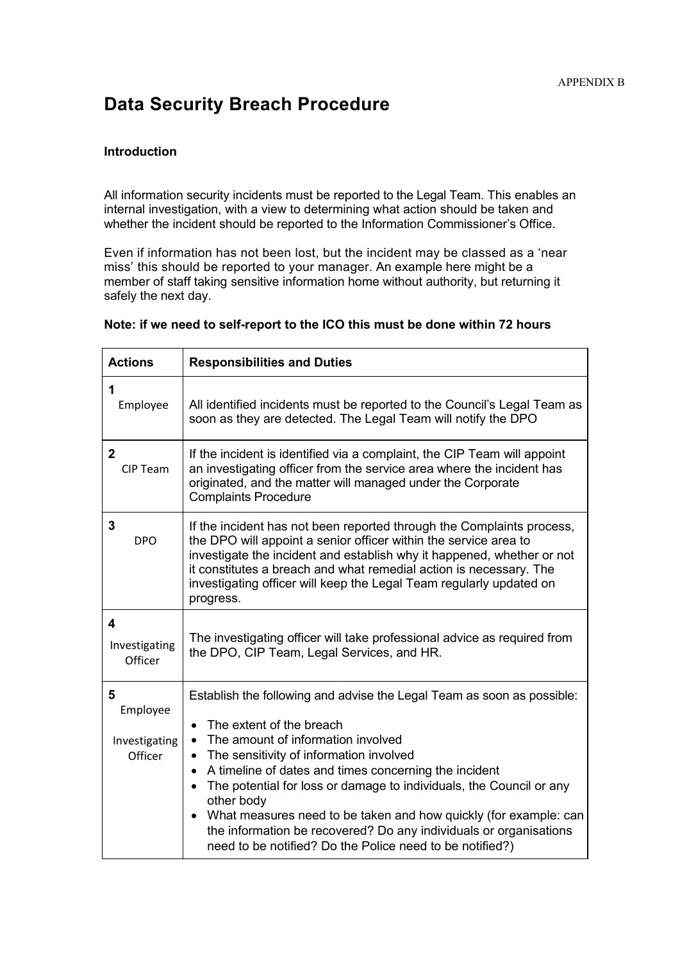# **Data Security Breach Procedure**

#### **Introduction**

All information security incidents must be reported to the Legal Team. This enables an internal investigation, with a view to determining what action should be taken and whether the incident should be reported to the Information Commissioner's Office.

Even if information has not been lost, but the incident may be classed as a 'near miss' this should be reported to your manager. An example here might be a member of staff taking sensitive information home without authority, but returning it safely the next day.

| <b>Actions</b>                            | <b>Responsibilities and Duties</b>                                                                                                                                                                                                                                                                                                                                                                                                                                                                                                                                            |
|-------------------------------------------|-------------------------------------------------------------------------------------------------------------------------------------------------------------------------------------------------------------------------------------------------------------------------------------------------------------------------------------------------------------------------------------------------------------------------------------------------------------------------------------------------------------------------------------------------------------------------------|
| 1<br>Employee                             | All identified incidents must be reported to the Council's Legal Team as<br>soon as they are detected. The Legal Team will notify the DPO                                                                                                                                                                                                                                                                                                                                                                                                                                     |
| $\mathbf{2}$<br><b>CIP Team</b>           | If the incident is identified via a complaint, the CIP Team will appoint<br>an investigating officer from the service area where the incident has<br>originated, and the matter will managed under the Corporate<br><b>Complaints Procedure</b>                                                                                                                                                                                                                                                                                                                               |
| 3<br><b>DPO</b>                           | If the incident has not been reported through the Complaints process,<br>the DPO will appoint a senior officer within the service area to<br>investigate the incident and establish why it happened, whether or not<br>it constitutes a breach and what remedial action is necessary. The<br>investigating officer will keep the Legal Team regularly updated on<br>progress.                                                                                                                                                                                                 |
| 4<br>Investigating<br>Officer             | The investigating officer will take professional advice as required from<br>the DPO, CIP Team, Legal Services, and HR.                                                                                                                                                                                                                                                                                                                                                                                                                                                        |
| 5<br>Employee<br>Investigating<br>Officer | Establish the following and advise the Legal Team as soon as possible:<br>The extent of the breach<br>The amount of information involved<br>$\bullet$<br>The sensitivity of information involved<br>$\bullet$<br>A timeline of dates and times concerning the incident<br>$\bullet$<br>The potential for loss or damage to individuals, the Council or any<br>other body<br>What measures need to be taken and how quickly (for example: can<br>the information be recovered? Do any individuals or organisations<br>need to be notified? Do the Police need to be notified?) |

#### **Note: if we need to self-report to the ICO this must be done within 72 hours**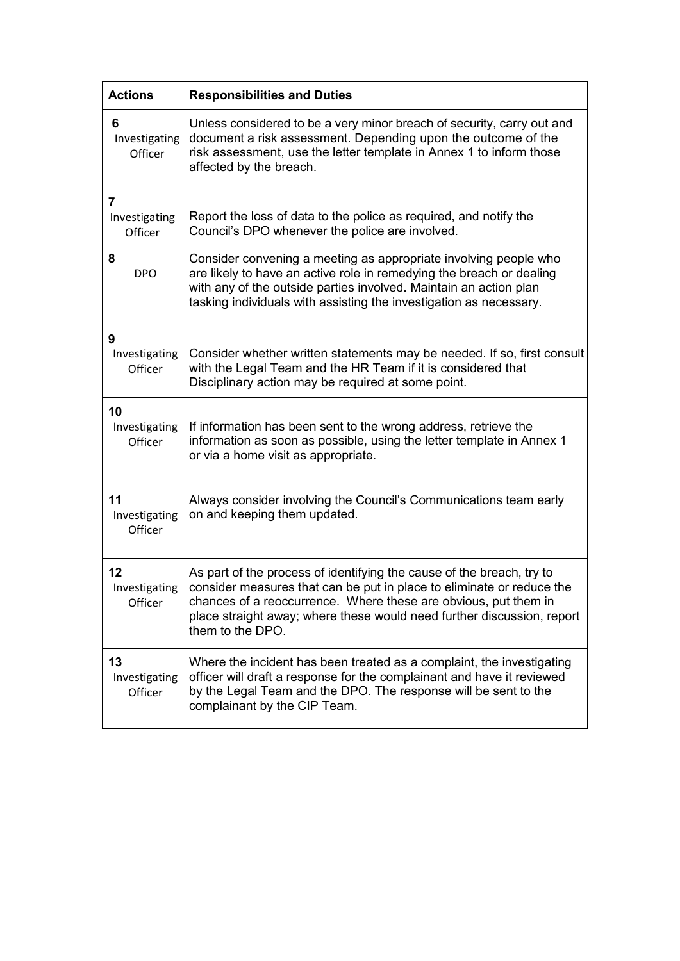| <b>Actions</b>                 | <b>Responsibilities and Duties</b>                                                                                                                                                                                                                                                                              |
|--------------------------------|-----------------------------------------------------------------------------------------------------------------------------------------------------------------------------------------------------------------------------------------------------------------------------------------------------------------|
| 6<br>Investigating<br>Officer  | Unless considered to be a very minor breach of security, carry out and<br>document a risk assessment. Depending upon the outcome of the<br>risk assessment, use the letter template in Annex 1 to inform those<br>affected by the breach.                                                                       |
| 7<br>Investigating<br>Officer  | Report the loss of data to the police as required, and notify the<br>Council's DPO whenever the police are involved.                                                                                                                                                                                            |
| 8<br><b>DPO</b>                | Consider convening a meeting as appropriate involving people who<br>are likely to have an active role in remedying the breach or dealing<br>with any of the outside parties involved. Maintain an action plan<br>tasking individuals with assisting the investigation as necessary.                             |
| 9<br>Investigating<br>Officer  | Consider whether written statements may be needed. If so, first consult<br>with the Legal Team and the HR Team if it is considered that<br>Disciplinary action may be required at some point.                                                                                                                   |
| 10<br>Investigating<br>Officer | If information has been sent to the wrong address, retrieve the<br>information as soon as possible, using the letter template in Annex 1<br>or via a home visit as appropriate.                                                                                                                                 |
| 11<br>Investigating<br>Officer | Always consider involving the Council's Communications team early<br>on and keeping them updated.                                                                                                                                                                                                               |
| 12<br>Investigating<br>Officer | As part of the process of identifying the cause of the breach, try to<br>consider measures that can be put in place to eliminate or reduce the<br>chances of a reoccurrence. Where these are obvious, put them in<br>place straight away; where these would need further discussion, report<br>them to the DPO. |
| 13<br>Investigating<br>Officer | Where the incident has been treated as a complaint, the investigating<br>officer will draft a response for the complainant and have it reviewed<br>by the Legal Team and the DPO. The response will be sent to the<br>complainant by the CIP Team.                                                              |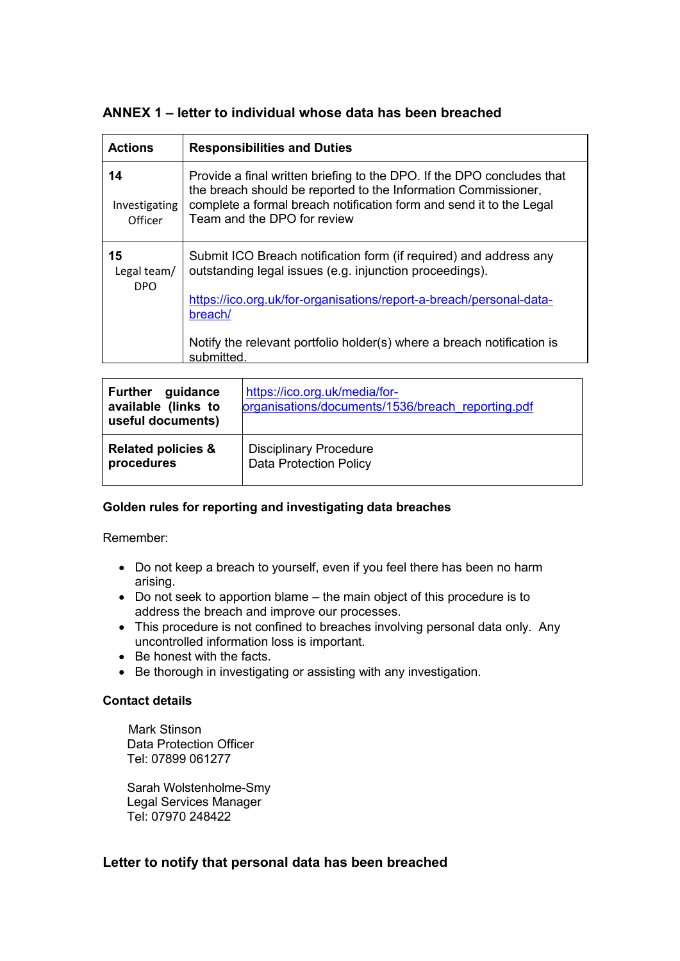# **ANNEX 1 – letter to individual whose data has been breached**

| <b>Actions</b>                 | <b>Responsibilities and Duties</b>                                                                                                                                                                                                             |
|--------------------------------|------------------------------------------------------------------------------------------------------------------------------------------------------------------------------------------------------------------------------------------------|
| 14<br>Investigating<br>Officer | Provide a final written briefing to the DPO. If the DPO concludes that<br>the breach should be reported to the Information Commissioner,<br>complete a formal breach notification form and send it to the Legal<br>Team and the DPO for review |
| 15<br>Legal team/<br>DPO       | Submit ICO Breach notification form (if required) and address any<br>outstanding legal issues (e.g. injunction proceedings).                                                                                                                   |
|                                | https://ico.org.uk/for-organisations/report-a-breach/personal-data-<br>breach/                                                                                                                                                                 |
|                                | Notify the relevant portfolio holder(s) where a breach notification is<br>submitted.                                                                                                                                                           |

| guidance<br><b>Further</b><br>available (links to<br>useful documents) | https://ico.org.uk/media/for-<br>organisations/documents/1536/breach reporting.pdf |
|------------------------------------------------------------------------|------------------------------------------------------------------------------------|
| <b>Related policies &amp;</b>                                          | <b>Disciplinary Procedure</b>                                                      |
| procedures                                                             | <b>Data Protection Policy</b>                                                      |

## **Golden rules for reporting and investigating data breaches**

Remember:

- Do not keep a breach to yourself, even if you feel there has been no harm arising.
- Do not seek to apportion blame the main object of this procedure is to address the breach and improve our processes.
- This procedure is not confined to breaches involving personal data only. Any uncontrolled information loss is important.
- Be honest with the facts.
- Be thorough in investigating or assisting with any investigation.

#### **Contact details**

Mark Stinson Data Protection Officer Tel: 07899 061277

Sarah Wolstenholme-Smy Legal Services Manager Tel: 07970 248422

## **Letter to notify that personal data has been breached**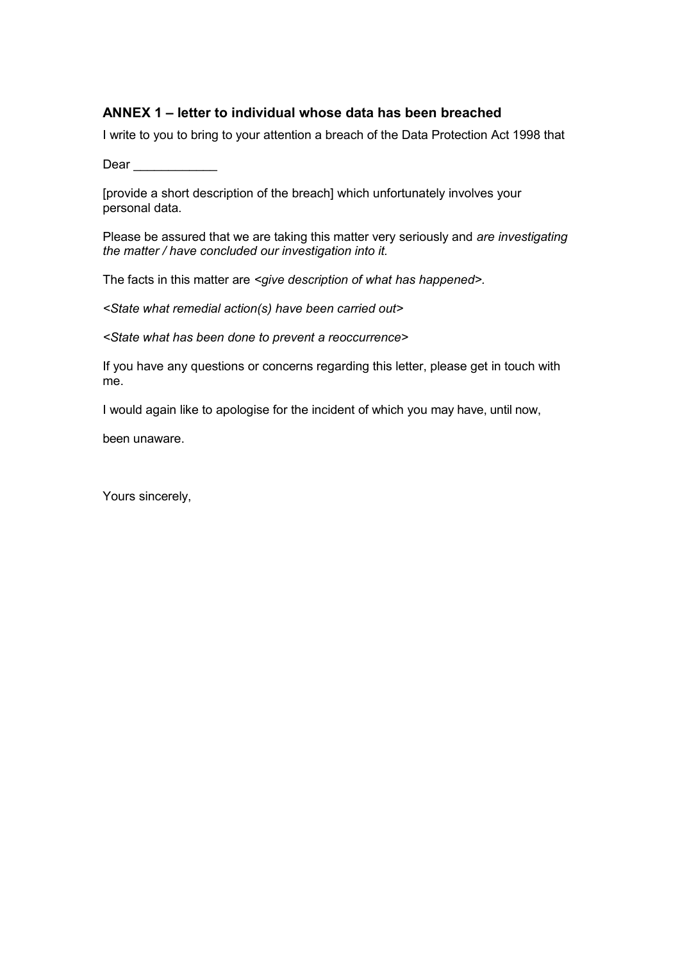# **ANNEX 1 – letter to individual whose data has been breached**

I write to you to bring to your attention a breach of the Data Protection Act 1998 that

Dear **Dear** 

[provide a short description of the breach] which unfortunately involves your personal data.

Please be assured that we are taking this matter very seriously and *are investigating the matter / have concluded our investigation into it.*

The facts in this matter are *<give description of what has happened>.*

*<State what remedial action(s) have been carried out>*

*<State what has been done to prevent a reoccurrence>*

If you have any questions or concerns regarding this letter, please get in touch with me.

I would again like to apologise for the incident of which you may have, until now,

been unaware.

Yours sincerely,